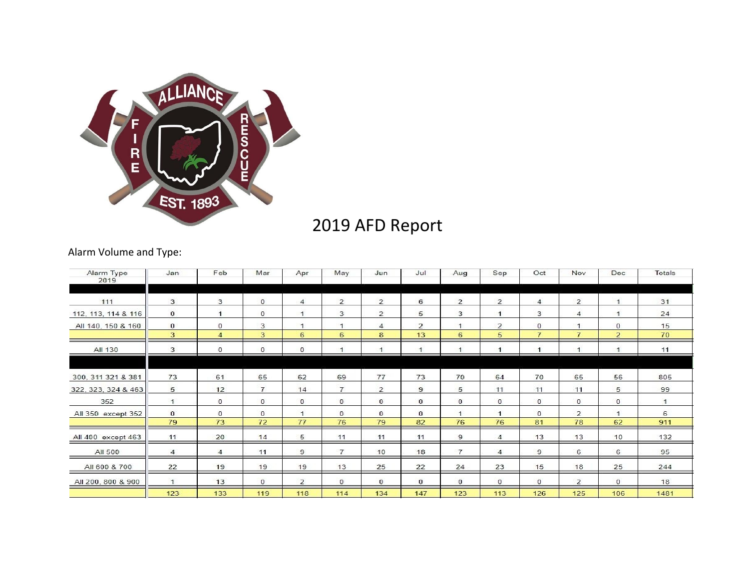

# 2019 AFD Report

# Alarm Volume and Type:

| Alarm Type<br>2019  | Jan                | Feb                | Mar                | Apr                | May                  | Jun                 | Jul                  | Aug                | Sep                 | Oct                            | Nov                            | Dec                            | Totals       |
|---------------------|--------------------|--------------------|--------------------|--------------------|----------------------|---------------------|----------------------|--------------------|---------------------|--------------------------------|--------------------------------|--------------------------------|--------------|
| 111                 | 3                  | 3                  | $\mathbf{0}$       | $\overline{4}$     | $\overline{2}$       | $\overline{2}$      | 6                    | $\overline{2}$     | $\overline{2}$      | $\overline{4}$                 | $\overline{2}$                 | $\mathbf{1}$                   | 31           |
| 112, 113, 114 & 116 | $\mathbf{0}$       |                    | $^{\circ}$         | $\mathbf{1}$       | 3                    | $\overline{2}$      | 5                    | 3                  | $\overline{1}$      | 3                              | $\overline{4}$                 | $\overline{1}$                 | 24           |
| All 140, 150 & 160  | $\mathbf{0}$<br>3  | $\circ$<br>4       | 3<br>3             | $\mathbf{1}$<br>6  | $\mathbf{1}$<br>6    | $\overline{4}$<br>8 | $\overline{2}$<br>13 | $\mathbf{1}$<br>6  | $\overline{2}$<br>5 | $\mathbf{0}$<br>$\overline{7}$ | $\mathbf{1}$<br>$\overline{7}$ | $\mathbf{0}$<br>$\overline{2}$ | 15<br>70     |
| All 130             | 3                  | $\mathbf 0$        | $\bf{0}$           | $^{\circ}$         | $\blacktriangleleft$ |                     |                      | $\overline{1}$     |                     |                                |                                |                                | 11           |
| 300, 311 321 & 381  | 73                 | 61                 | 65                 | 62                 | 69                   | 77                  | 73                   | 70                 | 64                  | 70                             | 65                             | 56                             | 805          |
| 322, 323, 324 & 463 | 5                  | 12                 | $\overline{7}$     | 14                 | $\overline{7}$       | $\overline{2}$      | 9                    | 5                  | 11                  | 11                             | 11                             | 5                              | 99           |
| 352                 | $\mathbf{1}$       | $\circ$            | $\mathbf{0}$       | $\mathbf{0}$       | $\mathbf{0}$         | $\mathbf{0}$        | $\mathbf{0}$         | $\mathbf{0}$       | $\mathbf{0}$        | $\mathbf{0}$                   | $^{\circ}$                     | $\mathbf{0}$                   | $\mathbf{1}$ |
| All 350 except 352  | $\mathbf{0}$<br>79 | $\mathbf{0}$<br>73 | $\mathbf{0}$<br>72 | $\mathbf{1}$<br>77 | $\mathbf{0}$<br>76   | $\mathbf{0}$<br>79  | $\mathbf{0}$<br>82   | $\mathbf{1}$<br>76 | $\mathbf{1}$<br>76  | $\mathbf{0}$<br>81             | $\overline{2}$<br>78           | $\mathbf{1}$<br>62             | 6<br>911     |
| All 400 except 463  | 11                 | 20                 | 14                 | 5                  | 11                   | 11                  | 11                   | 9                  | 4                   | 13                             | 13                             | 10                             | 132          |
| All 500             | $\overline{4}$     | 4                  | 11                 | 9                  | $\overline{7}$       | 10                  | 18                   | $\overline{7}$     | $\overline{4}$      | 9                              | 6                              | 6                              | 95           |
| All 600 & 700       | 22                 | 19                 | 19                 | 19                 | 13                   | 25                  | 22                   | 24                 | 23                  | 15                             | 18                             | 25                             | 244          |
| All 200, 800 & 900  | $\mathbf{1}$       | 13                 | $\mathbf{0}$       | $\overline{2}$     | $\mathbf{0}$         | $\mathbf{0}$        | 0                    | $\circ$            | $\mathbf{0}$        | $\mathbf{0}$                   | $\overline{2}$                 | $\mathbf{0}$                   | 18           |
|                     | 123                | 133                | 119                | 118                | 114                  | 134                 | 147                  | 123                | 113                 | 126                            | 125                            | 106                            | 1481         |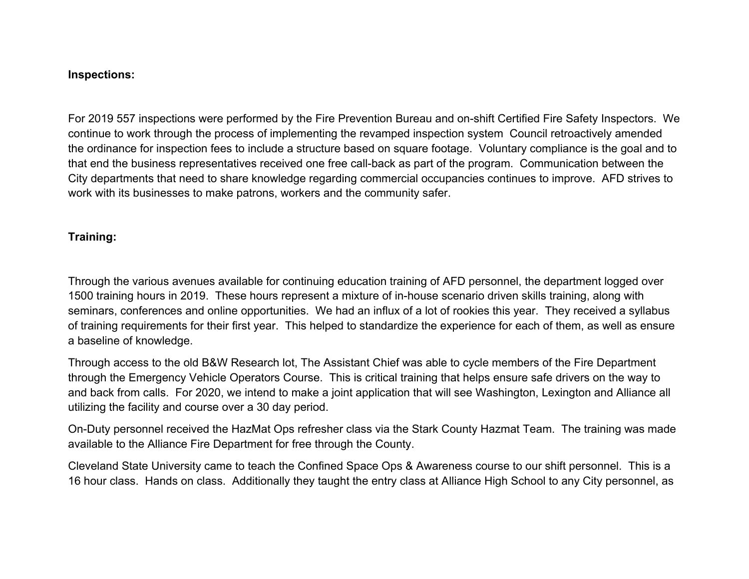#### **Inspections:**

For 2019 557 inspections were performed by the Fire Prevention Bureau and on-shift Certified Fire Safety Inspectors. We continue to work through the process of implementing the revamped inspection system Council retroactively amended the ordinance for inspection fees to include a structure based on square footage. Voluntary compliance is the goal and to that end the business representatives received one free call-back as part of the program. Communication between the City departments that need to share knowledge regarding commercial occupancies continues to improve. AFD strives to work with its businesses to make patrons, workers and the community safer.

## **Training:**

Through the various avenues available for continuing education training of AFD personnel, the department logged over 1500 training hours in 2019. These hours represent a mixture of in-house scenario driven skills training, along with seminars, conferences and online opportunities. We had an influx of a lot of rookies this year. They received a syllabus of training requirements for their first year. This helped to standardize the experience for each of them, as well as ensure a baseline of knowledge.

Through access to the old B&W Research lot, The Assistant Chief was able to cycle members of the Fire Department through the Emergency Vehicle Operators Course. This is critical training that helps ensure safe drivers on the way to and back from calls. For 2020, we intend to make a joint application that will see Washington, Lexington and Alliance all utilizing the facility and course over a 30 day period.

On-Duty personnel received the HazMat Ops refresher class via the Stark County Hazmat Team. The training was made available to the Alliance Fire Department for free through the County.

Cleveland State University came to teach the Confined Space Ops & Awareness course to our shift personnel. This is a 16 hour class. Hands on class. Additionally they taught the entry class at Alliance High School to any City personnel, as